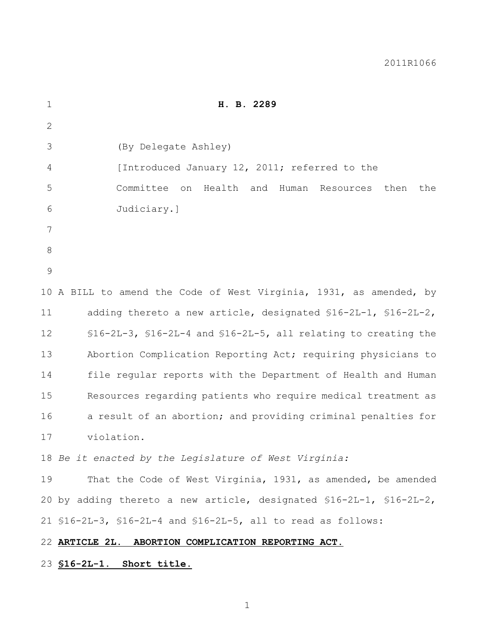| $\mathbf{1}$  | H. B. 2289                                                               |
|---------------|--------------------------------------------------------------------------|
| $\mathbf{2}$  |                                                                          |
| 3             | (By Delegate Ashley)                                                     |
| 4             | [Introduced January 12, 2011; referred to the                            |
| 5             | Committee on<br>then<br>Health and<br>Human Resources<br>the             |
| 6             | Judiciary.]                                                              |
| 7             |                                                                          |
| 8             |                                                                          |
| $\mathcal{G}$ |                                                                          |
|               | 10 A BILL to amend the Code of West Virginia, 1931, as amended, by       |
| 11            | adding thereto a new article, designated \$16-2L-1, \$16-2L-2,           |
| 12            | $$16-2L-3$ , $$16-2L-4$ and $$16-2L-5$ , all relating to creating the    |
| 13            | Abortion Complication Reporting Act; requiring physicians to             |
| 14            | file regular reports with the Department of Health and Human             |
| 15            | Resources regarding patients who require medical treatment as            |
| 16            | a result of an abortion; and providing criminal penalties for            |
| 17            | violation.                                                               |
|               | 18 Be it enacted by the Legislature of West Virginia:                    |
| 19            | That the Code of West Virginia, 1931, as amended, be amended             |
|               | 20 by adding thereto a new article, designated $$16-2L-1$ , $$16-2L-2$ , |
|               | 21 $$16-2L-3$ , $$16-2L-4$ and $$16-2L-5$ , all to read as follows:      |
|               | 22 ARTICLE 2L. ABORTION COMPLICATION REPORTING ACT.                      |
|               | 23 S16-2L-1. Short title.                                                |
|               |                                                                          |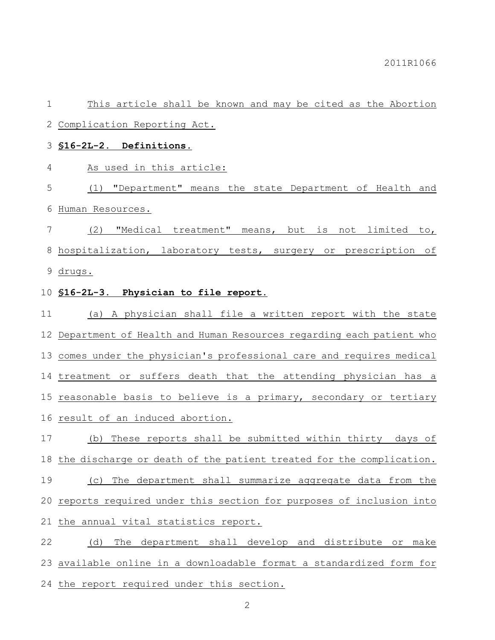This article shall be known and may be cited as the Abortion Complication Reporting Act.

**§16-2L-2. Definitions.**

As used in this article:

 (1) "Department" means the state Department of Health and Human Resources.

 (2) "Medical treatment" means, but is not limited to, hospitalization, laboratory tests, surgery or prescription of drugs.

## **§16-2L-3. Physician to file report.**

 (a) A physician shall file a written report with the state Department of Health and Human Resources regarding each patient who comes under the physician's professional care and requires medical treatment or suffers death that the attending physician has a reasonable basis to believe is a primary, secondary or tertiary result of an induced abortion.

 (b) These reports shall be submitted within thirty days of the discharge or death of the patient treated for the complication. (c) The department shall summarize aggregate data from the reports required under this section for purposes of inclusion into the annual vital statistics report.

 (d) The department shall develop and distribute or make available online in a downloadable format a standardized form for 24 the report required under this section.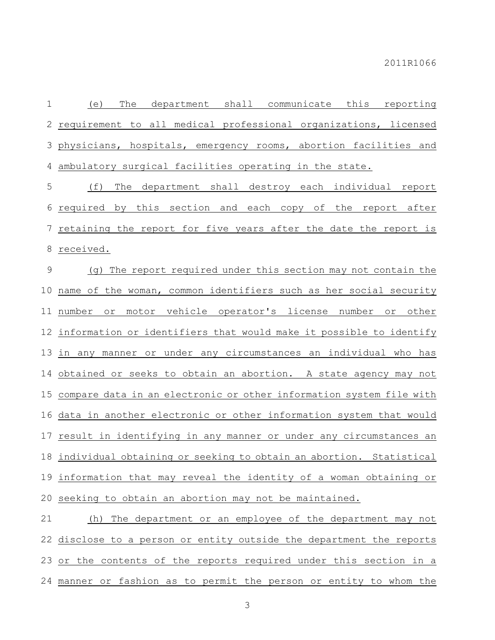(e) The department shall communicate this reporting requirement to all medical professional organizations, licensed physicians, hospitals, emergency rooms, abortion facilities and ambulatory surgical facilities operating in the state.

 (f) The department shall destroy each individual report required by this section and each copy of the report after retaining the report for five years after the date the report is received.

 (g) The report required under this section may not contain the name of the woman, common identifiers such as her social security number or motor vehicle operator's license number or other information or identifiers that would make it possible to identify in any manner or under any circumstances an individual who has obtained or seeks to obtain an abortion. A state agency may not compare data in an electronic or other information system file with data in another electronic or other information system that would result in identifying in any manner or under any circumstances an individual obtaining or seeking to obtain an abortion. Statistical information that may reveal the identity of a woman obtaining or seeking to obtain an abortion may not be maintained.

 (h) The department or an employee of the department may not disclose to a person or entity outside the department the reports or the contents of the reports required under this section in a manner or fashion as to permit the person or entity to whom the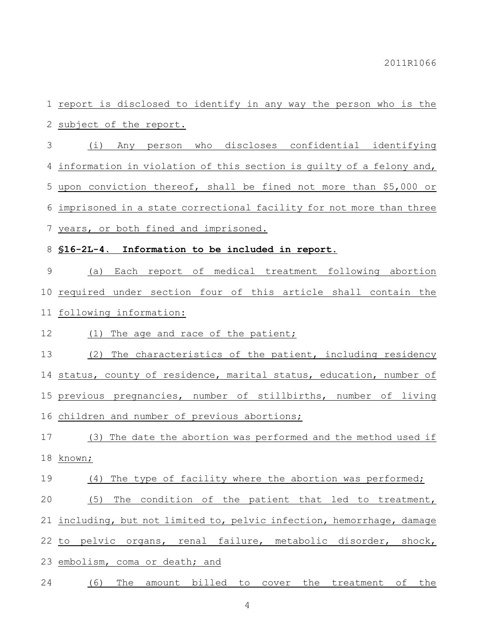report is disclosed to identify in any way the person who is the subject of the report.

 (i) Any person who discloses confidential identifying information in violation of this section is guilty of a felony and, upon conviction thereof, shall be fined not more than \$5,000 or imprisoned in a state correctional facility for not more than three years, or both fined and imprisoned.

**§16-2L-4. Information to be included in report.**

 (a) Each report of medical treatment following abortion required under section four of this article shall contain the following information:

12 (1) The age and race of the patient;

 (2) The characteristics of the patient, including residency status, county of residence, marital status, education, number of previous pregnancies, number of stillbirths, number of living children and number of previous abortions;

 (3) The date the abortion was performed and the method used if known;

## 19 (4) The type of facility where the abortion was performed;

(5) The condition of the patient that led to treatment,

including, but not limited to, pelvic infection, hemorrhage, damage

to pelvic organs, renal failure, metabolic disorder, shock,

embolism, coma or death; and

(6) The amount billed to cover the treatment of the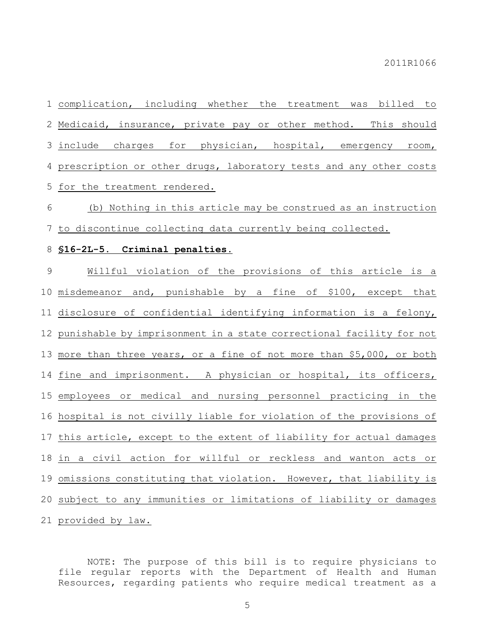complication, including whether the treatment was billed to Medicaid, insurance, private pay or other method. This should include charges for physician, hospital, emergency room, prescription or other drugs, laboratory tests and any other costs for the treatment rendered.

 (b) Nothing in this article may be construed as an instruction to discontinue collecting data currently being collected.

## **§16-2L-5. Criminal penalties.**

 Willful violation of the provisions of this article is a misdemeanor and, punishable by a fine of \$100, except that disclosure of confidential identifying information is a felony, punishable by imprisonment in a state correctional facility for not 13 more than three years, or a fine of not more than \$5,000, or both fine and imprisonment. A physician or hospital, its officers, employees or medical and nursing personnel practicing in the hospital is not civilly liable for violation of the provisions of this article, except to the extent of liability for actual damages in a civil action for willful or reckless and wanton acts or omissions constituting that violation. However, that liability is subject to any immunities or limitations of liability or damages provided by law.

NOTE: The purpose of this bill is to require physicians to file regular reports with the Department of Health and Human Resources, regarding patients who require medical treatment as a